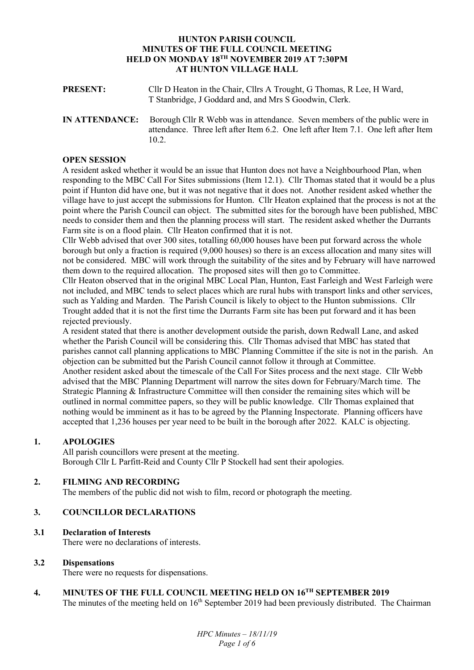### **HUNTON PARISH COUNCIL MINUTES OF THE FULL COUNCIL MEETING HELD ON MONDAY 18TH NOVEMBER 2019 AT 7:30PM AT HUNTON VILLAGE HALL**

| <b>PRESENT:</b> | Cllr D Heaton in the Chair, Cllrs A Trought, G Thomas, R Lee, H Ward, |
|-----------------|-----------------------------------------------------------------------|
|                 | T Stanbridge, J Goddard and, and Mrs S Goodwin, Clerk.                |
|                 |                                                                       |

**IN ATTENDANCE:** Borough Cllr R Webb was in attendance. Seven members of the public were in attendance. Three left after Item 6.2. One left after Item 7.1. One left after Item 10.2.

#### **OPEN SESSION**

A resident asked whether it would be an issue that Hunton does not have a Neighbourhood Plan, when responding to the MBC Call For Sites submissions (Item 12.1). Cllr Thomas stated that it would be a plus point if Hunton did have one, but it was not negative that it does not. Another resident asked whether the village have to just accept the submissions for Hunton. Cllr Heaton explained that the process is not at the point where the Parish Council can object. The submitted sites for the borough have been published, MBC needs to consider them and then the planning process will start. The resident asked whether the Durrants Farm site is on a flood plain. Cllr Heaton confirmed that it is not.

Cllr Webb advised that over 300 sites, totalling 60,000 houses have been put forward across the whole borough but only a fraction is required (9,000 houses) so there is an excess allocation and many sites will not be considered. MBC will work through the suitability of the sites and by February will have narrowed them down to the required allocation. The proposed sites will then go to Committee.

Cllr Heaton observed that in the original MBC Local Plan, Hunton, East Farleigh and West Farleigh were not included, and MBC tends to select places which are rural hubs with transport links and other services, such as Yalding and Marden. The Parish Council is likely to object to the Hunton submissions. Cllr Trought added that it is not the first time the Durrants Farm site has been put forward and it has been rejected previously.

A resident stated that there is another development outside the parish, down Redwall Lane, and asked whether the Parish Council will be considering this. Cllr Thomas advised that MBC has stated that parishes cannot call planning applications to MBC Planning Committee if the site is not in the parish. An objection can be submitted but the Parish Council cannot follow it through at Committee. Another resident asked about the timescale of the Call For Sites process and the next stage. Cllr Webb advised that the MBC Planning Department will narrow the sites down for February/March time. The Strategic Planning & Infrastructure Committee will then consider the remaining sites which will be outlined in normal committee papers, so they will be public knowledge. Cllr Thomas explained that nothing would be imminent as it has to be agreed by the Planning Inspectorate. Planning officers have accepted that 1,236 houses per year need to be built in the borough after 2022. KALC is objecting.

# **1. APOLOGIES**

All parish councillors were present at the meeting. Borough Cllr L Parfitt-Reid and County Cllr P Stockell had sent their apologies.

# **2. FILMING AND RECORDING**

The members of the public did not wish to film, record or photograph the meeting.

### **3. COUNCILLOR DECLARATIONS**

### **3.1 Declaration of Interests**

There were no declarations of interests.

### **3.2 Dispensations**

There were no requests for dispensations.

### **4. MINUTES OF THE FULL COUNCIL MEETING HELD ON 16TH SEPTEMBER 2019**  The minutes of the meeting held on 16<sup>th</sup> September 2019 had been previously distributed. The Chairman

*HPC Minutes – 18/11/19 Page 1 of 6*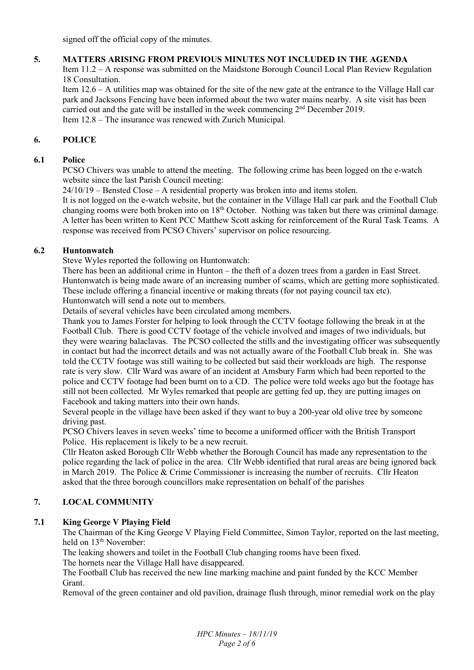signed off the official copy of the minutes.

# **5. MATTERS ARISING FROM PREVIOUS MINUTES NOT INCLUDED IN THE AGENDA**

Item 11.2 – A response was submitted on the Maidstone Borough Council Local Plan Review Regulation 18 Consultation.

Item 12.6 – A utilities map was obtained for the site of the new gate at the entrance to the Village Hall car park and Jacksons Fencing have been informed about the two water mains nearby. A site visit has been carried out and the gate will be installed in the week commencing 2nd December 2019. Item 12.8 – The insurance was renewed with Zurich Municipal.

## **6. POLICE**

### **6.1 Police**

PCSO Chivers was unable to attend the meeting. The following crime has been logged on the e-watch website since the last Parish Council meeting:

24/10/19 – Bensted Close – A residential property was broken into and items stolen.

It is not logged on the e-watch website, but the container in the Village Hall car park and the Football Club changing rooms were both broken into on 18<sup>th</sup> October. Nothing was taken but there was criminal damage. A letter has been written to Kent PCC Matthew Scott asking for reinforcement of the Rural Task Teams. A response was received from PCSO Chivers' supervisor on police resourcing.

### **6.2 Huntonwatch**

Steve Wyles reported the following on Huntonwatch:

There has been an additional crime in Hunton – the theft of a dozen trees from a garden in East Street. Huntonwatch is being made aware of an increasing number of scams, which are getting more sophisticated. These include offering a financial incentive or making threats (for not paying council tax etc). Huntonwatch will send a note out to members.

Details of several vehicles have been circulated among members.

Thank you to James Forster for helping to look through the CCTV footage following the break in at the Football Club. There is good CCTV footage of the vehicle involved and images of two individuals, but they were wearing balaclavas. The PCSO collected the stills and the investigating officer was subsequently in contact but had the incorrect details and was not actually aware of the Football Club break in. She was told the CCTV footage was still waiting to be collected but said their workloads are high. The response rate is very slow. Cllr Ward was aware of an incident at Amsbury Farm which had been reported to the police and CCTV footage had been burnt on to a CD. The police were told weeks ago but the footage has still not been collected. Mr Wyles remarked that people are getting fed up, they are putting images on Facebook and taking matters into their own hands.

Several people in the village have been asked if they want to buy a 200-year old olive tree by someone driving past.

PCSO Chivers leaves in seven weeks' time to become a uniformed officer with the British Transport Police. His replacement is likely to be a new recruit.

Cllr Heaton asked Borough Cllr Webb whether the Borough Council has made any representation to the police regarding the lack of police in the area. Cllr Webb identified that rural areas are being ignored back in March 2019. The Police & Crime Commissioner is increasing the number of recruits. Cllr Heaton asked that the three borough councillors make representation on behalf of the parishes

# **7. LOCAL COMMUNITY**

### **7.1 King George V Playing Field**

The Chairman of the King George V Playing Field Committee, Simon Taylor, reported on the last meeting, held on 13<sup>th</sup> November:

The leaking showers and toilet in the Football Club changing rooms have been fixed.

The hornets near the Village Hall have disappeared.

The Football Club has received the new line marking machine and paint funded by the KCC Member Grant.

Removal of the green container and old pavilion, drainage flush through, minor remedial work on the play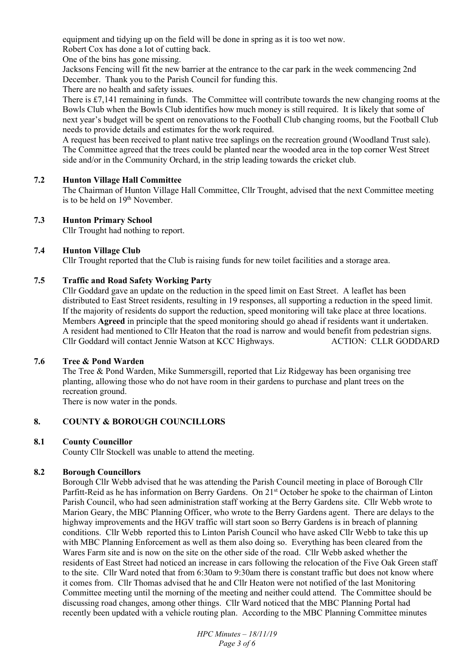equipment and tidying up on the field will be done in spring as it is too wet now.

Robert Cox has done a lot of cutting back.

One of the bins has gone missing.

Jacksons Fencing will fit the new barrier at the entrance to the car park in the week commencing 2nd December. Thank you to the Parish Council for funding this.

There are no health and safety issues.

There is £7,141 remaining in funds. The Committee will contribute towards the new changing rooms at the Bowls Club when the Bowls Club identifies how much money is still required. It is likely that some of next year's budget will be spent on renovations to the Football Club changing rooms, but the Football Club needs to provide details and estimates for the work required.

A request has been received to plant native tree saplings on the recreation ground (Woodland Trust sale). The Committee agreed that the trees could be planted near the wooded area in the top corner West Street side and/or in the Community Orchard, in the strip leading towards the cricket club.

# **7.2 Hunton Village Hall Committee**

The Chairman of Hunton Village Hall Committee, Cllr Trought, advised that the next Committee meeting is to be held on  $19<sup>th</sup>$  November.

### **7.3 Hunton Primary School**

Cllr Trought had nothing to report.

# **7.4 Hunton Village Club**

Cllr Trought reported that the Club is raising funds for new toilet facilities and a storage area.

# **7.5 Traffic and Road Safety Working Party**

Cllr Goddard gave an update on the reduction in the speed limit on East Street. A leaflet has been distributed to East Street residents, resulting in 19 responses, all supporting a reduction in the speed limit. If the majority of residents do support the reduction, speed monitoring will take place at three locations. Members **Agreed** in principle that the speed monitoring should go ahead if residents want it undertaken. A resident had mentioned to Cllr Heaton that the road is narrow and would benefit from pedestrian signs.<br>Cllr Goddard will contact Jennie Watson at KCC Highways. ACTION: CLLR GODDARD Cllr Goddard will contact Jennie Watson at KCC Highways.

### **7.6 Tree & Pond Warden**

The Tree & Pond Warden, Mike Summersgill, reported that Liz Ridgeway has been organising tree planting, allowing those who do not have room in their gardens to purchase and plant trees on the recreation ground.

There is now water in the ponds.

# **8. COUNTY & BOROUGH COUNCILLORS**

### **8.1 County Councillor**

County Cllr Stockell was unable to attend the meeting.

# **8.2 Borough Councillors**

Borough Cllr Webb advised that he was attending the Parish Council meeting in place of Borough Cllr Parfitt-Reid as he has information on Berry Gardens. On 21<sup>st</sup> October he spoke to the chairman of Linton Parish Council, who had seen administration staff working at the Berry Gardens site. Cllr Webb wrote to Marion Geary, the MBC Planning Officer, who wrote to the Berry Gardens agent. There are delays to the highway improvements and the HGV traffic will start soon so Berry Gardens is in breach of planning conditions. Cllr Webb reported this to Linton Parish Council who have asked Cllr Webb to take this up with MBC Planning Enforcement as well as them also doing so. Everything has been cleared from the Wares Farm site and is now on the site on the other side of the road. Cllr Webb asked whether the residents of East Street had noticed an increase in cars following the relocation of the Five Oak Green staff to the site. Cllr Ward noted that from 6:30am to 9:30am there is constant traffic but does not know where it comes from. Cllr Thomas advised that he and Cllr Heaton were not notified of the last Monitoring Committee meeting until the morning of the meeting and neither could attend. The Committee should be discussing road changes, among other things. Cllr Ward noticed that the MBC Planning Portal had recently been updated with a vehicle routing plan. According to the MBC Planning Committee minutes

> *HPC Minutes – 18/11/19 Page 3 of 6*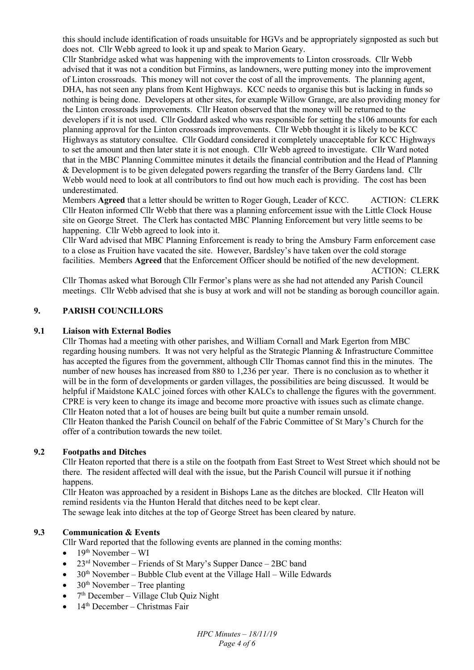this should include identification of roads unsuitable for HGVs and be appropriately signposted as such but does not. Cllr Webb agreed to look it up and speak to Marion Geary.

Cllr Stanbridge asked what was happening with the improvements to Linton crossroads. Cllr Webb advised that it was not a condition but Firmins, as landowners, were putting money into the improvement of Linton crossroads. This money will not cover the cost of all the improvements. The planning agent, DHA, has not seen any plans from Kent Highways. KCC needs to organise this but is lacking in funds so nothing is being done. Developers at other sites, for example Willow Grange, are also providing money for the Linton crossroads improvements. Cllr Heaton observed that the money will be returned to the developers if it is not used. Cllr Goddard asked who was responsible for setting the s106 amounts for each planning approval for the Linton crossroads improvements. Cllr Webb thought it is likely to be KCC Highways as statutory consultee. Cllr Goddard considered it completely unacceptable for KCC Highways to set the amount and then later state it is not enough. Cllr Webb agreed to investigate. Cllr Ward noted that in the MBC Planning Committee minutes it details the financial contribution and the Head of Planning & Development is to be given delegated powers regarding the transfer of the Berry Gardens land. Cllr Webb would need to look at all contributors to find out how much each is providing. The cost has been underestimated.

Members **Agreed** that a letter should be written to Roger Gough, Leader of KCC. ACTION: CLERK Cllr Heaton informed Cllr Webb that there was a planning enforcement issue with the Little Clock House site on George Street. The Clerk has contacted MBC Planning Enforcement but very little seems to be happening. Cllr Webb agreed to look into it.

Cllr Ward advised that MBC Planning Enforcement is ready to bring the Amsbury Farm enforcement case to a close as Fruition have vacated the site. However, Bardsley's have taken over the cold storage facilities. Members **Agreed** that the Enforcement Officer should be notified of the new development.

ACTION: CLERK

Cllr Thomas asked what Borough Cllr Fermor's plans were as she had not attended any Parish Council meetings. Cllr Webb advised that she is busy at work and will not be standing as borough councillor again.

# **9. PARISH COUNCILLORS**

### **9.1 Liaison with External Bodies**

Cllr Thomas had a meeting with other parishes, and William Cornall and Mark Egerton from MBC regarding housing numbers. It was not very helpful as the Strategic Planning & Infrastructure Committee has accepted the figures from the government, although Cllr Thomas cannot find this in the minutes. The number of new houses has increased from 880 to 1,236 per year. There is no conclusion as to whether it will be in the form of developments or garden villages, the possibilities are being discussed. It would be helpful if Maidstone KALC joined forces with other KALCs to challenge the figures with the government. CPRE is very keen to change its image and become more proactive with issues such as climate change. Cllr Heaton noted that a lot of houses are being built but quite a number remain unsold. Cllr Heaton thanked the Parish Council on behalf of the Fabric Committee of St Mary's Church for the offer of a contribution towards the new toilet.

### **9.2 Footpaths and Ditches**

Cllr Heaton reported that there is a stile on the footpath from East Street to West Street which should not be there. The resident affected will deal with the issue, but the Parish Council will pursue it if nothing happens.

Cllr Heaton was approached by a resident in Bishops Lane as the ditches are blocked. Cllr Heaton will remind residents via the Hunton Herald that ditches need to be kept clear.

The sewage leak into ditches at the top of George Street has been cleared by nature.

# **9.3 Communication & Events**

Cllr Ward reported that the following events are planned in the coming months:

- $19<sup>th</sup>$  November WI
- 23<sup>rd</sup> November Friends of St Mary's Supper Dance 2BC band
- $\bullet$  30<sup>th</sup> November Bubble Club event at the Village Hall Wille Edwards
- $\bullet$  30<sup>th</sup> November Tree planting
- $\bullet$  7<sup>th</sup> December Village Club Quiz Night
- 14th December Christmas Fair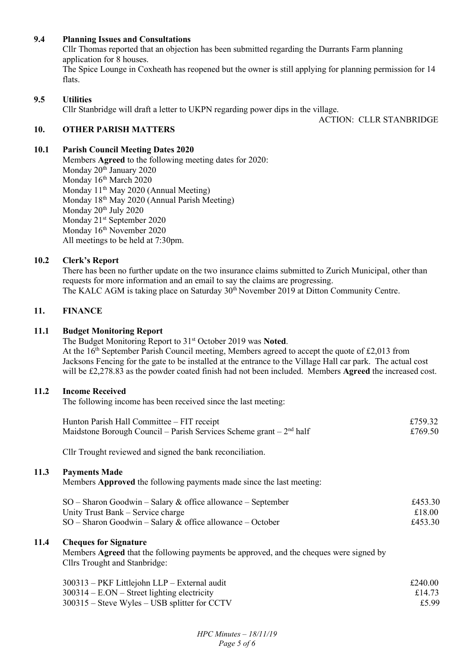## **9.4 Planning Issues and Consultations**

Cllr Thomas reported that an objection has been submitted regarding the Durrants Farm planning application for 8 houses. The Spice Lounge in Coxheath has reopened but the owner is still applying for planning permission for 14 flats.

### **9.5 Utilities**

Cllr Stanbridge will draft a letter to UKPN regarding power dips in the village.

ACTION: CLLR STANBRIDGE

#### **10. OTHER PARISH MATTERS**

#### **10.1 Parish Council Meeting Dates 2020**

 Members **Agreed** to the following meeting dates for 2020: Monday 20<sup>th</sup> January 2020 Monday 16th March 2020 Monday 11<sup>th</sup> May 2020 (Annual Meeting) Monday 18<sup>th</sup> May 2020 (Annual Parish Meeting) Monday 20<sup>th</sup> July 2020 Monday 21<sup>st</sup> September 2020 Monday 16<sup>th</sup> November 2020 All meetings to be held at 7:30pm.

#### **10.2 Clerk's Report**

There has been no further update on the two insurance claims submitted to Zurich Municipal, other than requests for more information and an email to say the claims are progressing. The KALC AGM is taking place on Saturday 30<sup>th</sup> November 2019 at Ditton Community Centre.

## **11. FINANCE**

#### **11.1 Budget Monitoring Report**

The Budget Monitoring Report to 31st October 2019 was **Noted**. At the  $16<sup>th</sup>$  September Parish Council meeting, Members agreed to accept the quote of £2,013 from Jacksons Fencing for the gate to be installed at the entrance to the Village Hall car park. The actual cost will be £2,278.83 as the powder coated finish had not been included. Members **Agreed** the increased cost.

### **11.2 Income Received**

The following income has been received since the last meeting:

| Hunton Parish Hall Committee – FIT receipt                            | £759.32 |
|-----------------------------------------------------------------------|---------|
| Maidstone Borough Council – Parish Services Scheme grant – $2nd$ half | £769.50 |

Cllr Trought reviewed and signed the bank reconciliation.

#### **11.3 Payments Made**

Members **Approved** the following payments made since the last meeting:

| $SO -$ Sharon Goodwin – Salary & office allowance – September | £453.30 |
|---------------------------------------------------------------|---------|
| Unity Trust Bank – Service charge                             | £18.00  |
| $SO -$ Sharon Goodwin – Salary & office allowance – October   | £453.30 |

#### **11.4 Cheques for Signature**

Members **Agreed** that the following payments be approved, and the cheques were signed by Cllrs Trought and Stanbridge:

| 300313 – PKF Littlejohn LLP – External audit   | £240.00 |
|------------------------------------------------|---------|
| $300314 - E. ON - Street lighting electricity$ | £14.73  |
| $300315$ – Steve Wyles – USB splitter for CCTV | £5.99   |